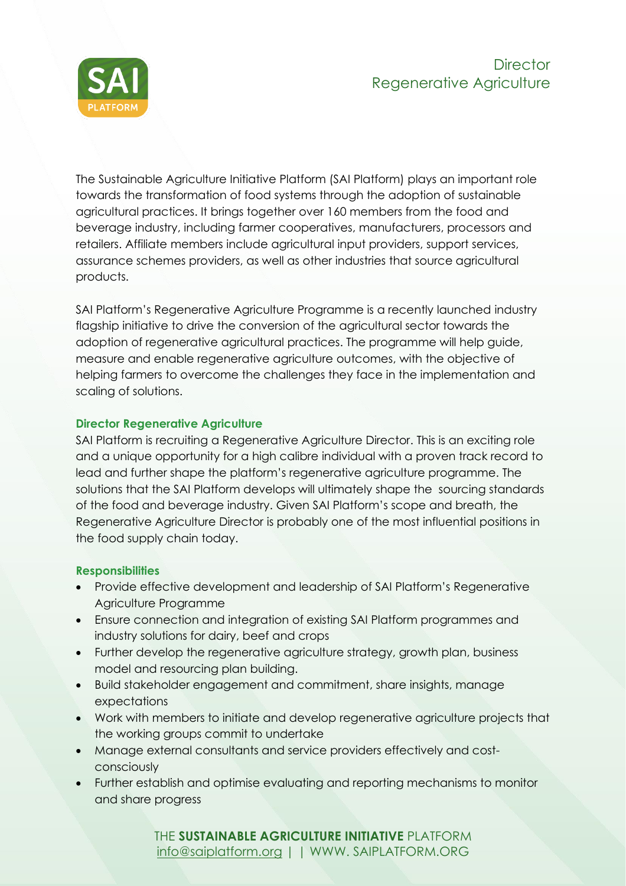

The Sustainable Agriculture Initiative Platform (SAI Platform) plays an important role towards the transformation of food systems through the adoption of sustainable agricultural practices. It brings together over 160 members from the food and beverage industry, including farmer cooperatives, manufacturers, processors and retailers. Affiliate members include agricultural input providers, support services, assurance schemes providers, as well as other industries that source agricultural products.

SAI Platform's Regenerative Agriculture Programme is a recently launched industry flagship initiative to drive the conversion of the agricultural sector towards the adoption of regenerative agricultural practices. The programme will help guide, measure and enable regenerative agriculture outcomes, with the objective of helping farmers to overcome the challenges they face in the implementation and scaling of solutions.

## **Director Regenerative Agriculture**

SAI Platform is recruiting a Regenerative Agriculture Director. This is an exciting role and a unique opportunity for a high calibre individual with a proven track record to lead and further shape the platform's regenerative agriculture programme. The solutions that the SAI Platform develops will ultimately shape the sourcing standards of the food and beverage industry. Given SAI Platform's scope and breath, the Regenerative Agriculture Director is probably one of the most influential positions in the food supply chain today.

## **Responsibilities**

- Provide effective development and leadership of SAI Platform's Regenerative Agriculture Programme
- Ensure connection and integration of existing SAI Platform programmes and industry solutions for dairy, beef and crops
- Further develop the regenerative agriculture strategy, growth plan, business model and resourcing plan building.
- Build stakeholder engagement and commitment, share insights, manage expectations
- Work with members to initiate and develop regenerative agriculture projects that the working groups commit to undertake
- Manage external consultants and service providers effectively and costconsciously
- Further establish and optimise evaluating and reporting mechanisms to monitor and share progress

THE **SUSTAINABLE AGRICULTURE INITIATIVE** PLATFORM [info@saiplatform.org](mailto:info@saiplatform.org) | | WWW. SAIPLATFORM.ORG